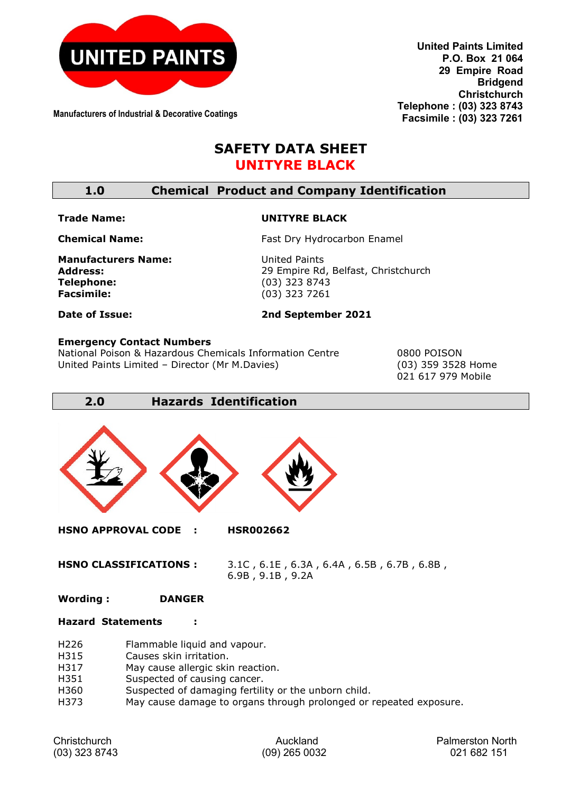

**Manufacturers of Industrial & Decorative Coatings**

**United Paints Limited P.O. Box 21 064 29 Empire Road Bridgend Christchurch Telephone : (03) 323 8743 Facsimile : (03) 323 7261**

# **SAFETY DATA SHEET UNITYRE BLACK**

## **1.0 Chemical Product and Company Identification**

#### **Trade Name:**

#### **UNITYRE BLACK**

**Chemical Name:**

**Manufacturers Name: Address: Telephone: Facsimile:** 

United Paints 29 Empire Rd, Belfast, Christchurch (03) 323 8743 (03) 323 7261

Fast Dry Hydrocarbon Enamel

**Date of Issue:**

### **2nd September 2021**

#### **Emergency Contact Numbers**

National Poison & Hazardous Chemicals Information Centre 0800 POISON United Paints Limited – Director (Mr M.Davies) (03) 359 3528 Home

021 617 979 Mobile

**2.0 Hazards Identification**



**HSNO APPROVAL CODE : HSR002662** 

**HSNO CLASSIFICATIONS :** 3.1C , 6.1E , 6.3A , 6.4A , 6.5B , 6.7B , 6.8B , 6.9B , 9.1B , 9.2A

#### **Wording : DANGER**

#### **Hazard Statements :**

- H226 Flammable liquid and vapour.
- H315 Causes skin irritation.<br>H317 May cause allergic ski
- May cause allergic skin reaction.
- H351 Suspected of causing cancer.
- H360 Suspected of damaging fertility or the unborn child.
- H373 May cause damage to organs through prolonged or repeated exposure.

| Christchurch    |  |  |
|-----------------|--|--|
| $(03)$ 323 8743 |  |  |

Auckland **Palmerston North** (03) 323 8743 (09) 265 0032 021 682 151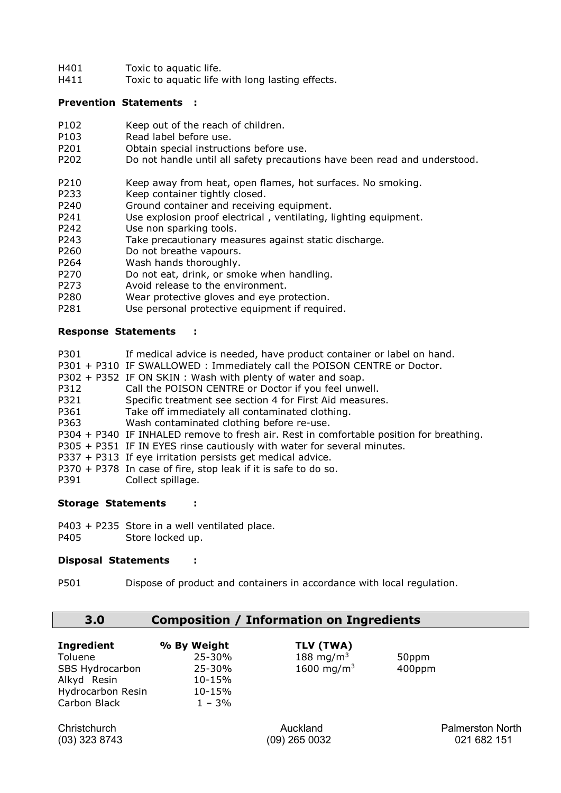- H401 Toxic to aquatic life.<br>H411 Toxic to aquatic life
- Toxic to aquatic life with long lasting effects.

#### **Prevention Statements :**

- P102 Keep out of the reach of children.
- P103 Read label before use.
- P201 Obtain special instructions before use.<br>P202 Do not handle until all safety precautic
- Do not handle until all safety precautions have been read and understood.
- P210 Keep away from heat, open flames, hot surfaces. No smoking.<br>P233 Keep container tightly closed.
- Keep container tightly closed.
- P240 Ground container and receiving equipment.
- P241 Use explosion proof electrical, ventilating, lighting equipment.<br>P242 Use non sparking tools.
- Use non sparking tools.
- P243 Take precautionary measures against static discharge.
- P260 Do not breathe vapours.<br>P264 Wash hands thoroughly.
- Wash hands thoroughly.
- P270 Do not eat, drink, or smoke when handling.<br>P273 Avoid release to the environment.
- P273 Avoid release to the environment.<br>P280 Wear protective gloves and eve pr
- Wear protective gloves and eye protection.
- P281 Use personal protective equipment if required.

#### **Response Statements :**

- P301 If medical advice is needed, have product container or label on hand.
- P301 + P310 IF SWALLOWED : Immediately call the POISON CENTRE or Doctor.
- P302 + P352 IF ON SKIN : Wash with plenty of water and soap.
- P312 Call the POISON CENTRE or Doctor if you feel unwell.
- P321 Specific treatment see section 4 for First Aid measures.<br>P361 Take off immediately all contaminated clothing.
- P361 Take off immediately all contaminated clothing.<br>P363 Wash contaminated clothing before re-use.
- Wash contaminated clothing before re-use.
- P304 + P340 IF INHALED remove to fresh air. Rest in comfortable position for breathing.
- P305 + P351 IF IN EYES rinse cautiously with water for several minutes.
- P337 + P313 If eye irritation persists get medical advice.
- P370 + P378 In case of fire, stop leak if it is safe to do so.
- P391 Collect spillage.

### **Storage Statements :**

- P403 + P235 Store in a well ventilated place.
- P405 Store locked up.

#### **Disposal Statements :**

P501 Dispose of product and containers in accordance with local regulation.

## **3.0 Composition / Information on Ingredients**

| <b>Ingredient</b>        | % By Weight | TLV (TWA)              |        |
|--------------------------|-------------|------------------------|--------|
| Toluene                  | 25-30%      | 188 mg/m <sup>3</sup>  | 50ppm  |
| SBS Hydrocarbon          | 25-30%      | 1600 mg/m <sup>3</sup> | 400ppm |
| Alkyd Resin              | 10-15%      |                        |        |
| <b>Hydrocarbon Resin</b> | 10-15%      |                        |        |
| Carbon Black             | $1 - 3%$    |                        |        |

Christchurch Auckland Palmerston North (03) 323 8743 (09) 265 0032 021 682 151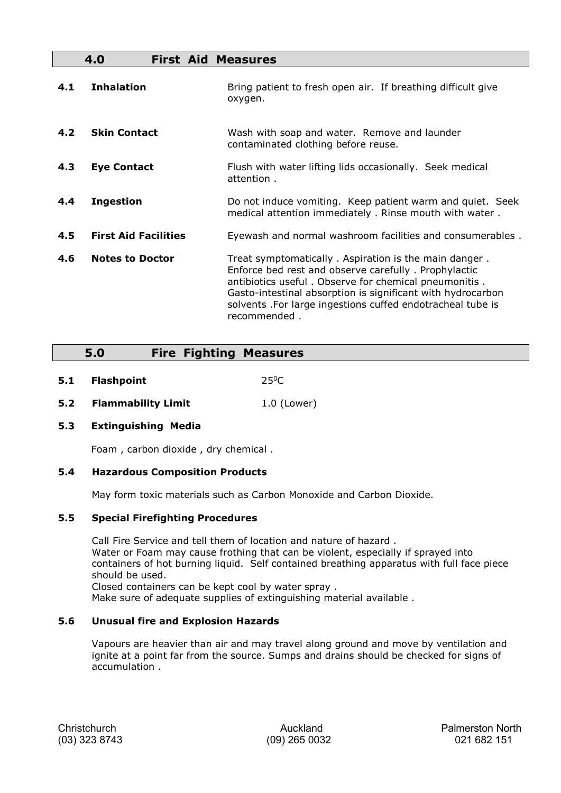|     | 4.0<br><b>First Aid Measures</b> |                                                                                                                                                                                                                                                                                                                     |
|-----|----------------------------------|---------------------------------------------------------------------------------------------------------------------------------------------------------------------------------------------------------------------------------------------------------------------------------------------------------------------|
| 4.1 | <b>Inhalation</b>                | Bring patient to fresh open air. If breathing difficult give<br>oxygen.                                                                                                                                                                                                                                             |
| 4.2 | <b>Skin Contact</b>              | Wash with soap and water. Remove and launder<br>contaminated clothing before reuse.                                                                                                                                                                                                                                 |
| 4.3 | <b>Eye Contact</b>               | Flush with water lifting lids occasionally. Seek medical<br>attention.                                                                                                                                                                                                                                              |
| 4.4 | <b>Ingestion</b>                 | Do not induce vomiting. Keep patient warm and quiet. Seek<br>medical attention immediately . Rinse mouth with water.                                                                                                                                                                                                |
| 4.5 | <b>First Aid Facilities</b>      | Eyewash and normal washroom facilities and consumerables.                                                                                                                                                                                                                                                           |
| 4.6 | <b>Notes to Doctor</b>           | Treat symptomatically. Aspiration is the main danger.<br>Enforce bed rest and observe carefully. Prophylactic<br>antibiotics useful. Observe for chemical pneumonitis.<br>Gasto-intestinal absorption is significant with hydrocarbon<br>solvents. For large ingestions cuffed endotracheal tube is<br>recommended. |

## **5.0 Fire Fighting Measures**

- **5.1 Flashpoint** 250C
- **5.2 Flammability Limit** 1.0 (Lower)

### **5.3 Extinguishing Media**

Foam , carbon dioxide , dry chemical .

### **5.4 Hazardous Composition Products**

May form toxic materials such as Carbon Monoxide and Carbon Dioxide.

### **5.5 Special Firefighting Procedures**

Call Fire Service and tell them of location and nature of hazard . Water or Foam may cause frothing that can be violent, especially if sprayed into containers of hot burning liquid. Self contained breathing apparatus with full face piece should be used.

Closed containers can be kept cool by water spray .

Make sure of adequate supplies of extinguishing material available .

### **5.6 Unusual fire and Explosion Hazards**

Vapours are heavier than air and may travel along ground and move by ventilation and ignite at a point far from the source. Sumps and drains should be checked for signs of accumulation .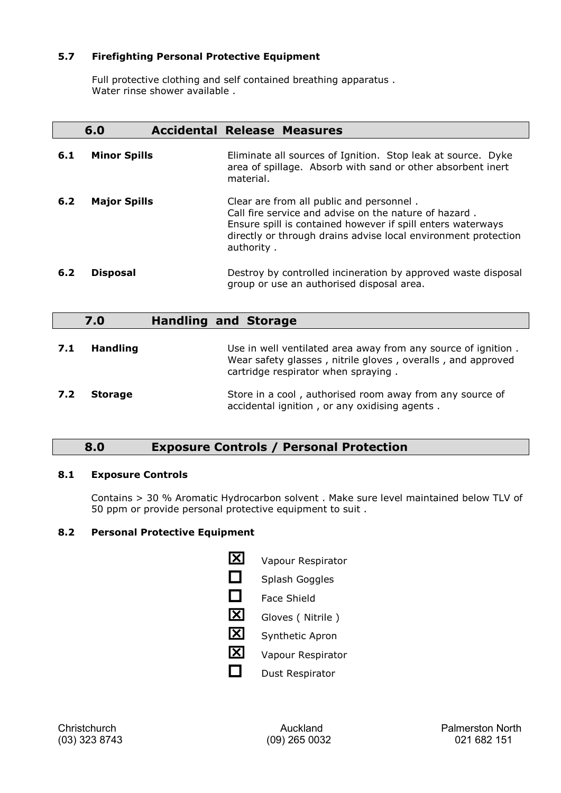### **5.7 Firefighting Personal Protective Equipment**

Full protective clothing and self contained breathing apparatus . Water rinse shower available .

|     | 6.0                 | <b>Accidental Release Measures</b>                                                                                                                                                                                                               |
|-----|---------------------|--------------------------------------------------------------------------------------------------------------------------------------------------------------------------------------------------------------------------------------------------|
| 6.1 | <b>Minor Spills</b> | Eliminate all sources of Ignition. Stop leak at source. Dyke<br>area of spillage. Absorb with sand or other absorbent inert<br>material.                                                                                                         |
| 6.2 | <b>Major Spills</b> | Clear are from all public and personnel.<br>Call fire service and advise on the nature of hazard.<br>Ensure spill is contained however if spill enters waterways<br>directly or through drains advise local environment protection<br>authority. |
| 6.2 | <b>Disposal</b>     | Destroy by controlled incineration by approved waste disposal<br>group or use an authorised disposal area.                                                                                                                                       |
|     | 7.0                 | <b>Handling and Storage</b>                                                                                                                                                                                                                      |
| 7.1 | <b>Handling</b>     | Use in well ventilated area away from any source of ignition.<br>Wear safety glasses, nitrile gloves, overalls, and approved<br>cartridge respirator when spraying.                                                                              |
| 7.2 | <b>Storage</b>      | Store in a cool, authorised room away from any source of<br>accidental ignition, or any oxidising agents.                                                                                                                                        |

## **8.0 Exposure Controls / Personal Protection**

### **8.1 Exposure Controls**

Contains > 30 % Aromatic Hydrocarbon solvent . Make sure level maintained below TLV of 50 ppm or provide personal protective equipment to suit .

### **8.2 Personal Protective Equipment**

| IXI | Vapour Respirator      |
|-----|------------------------|
|     | Splash Goggles         |
|     | Face Shield            |
| ΙXΙ | Gloves (Nitrile)       |
| ΙXΙ | <b>Synthetic Apron</b> |
| IXI | Vapour Respirator      |
|     | Dust Respirator        |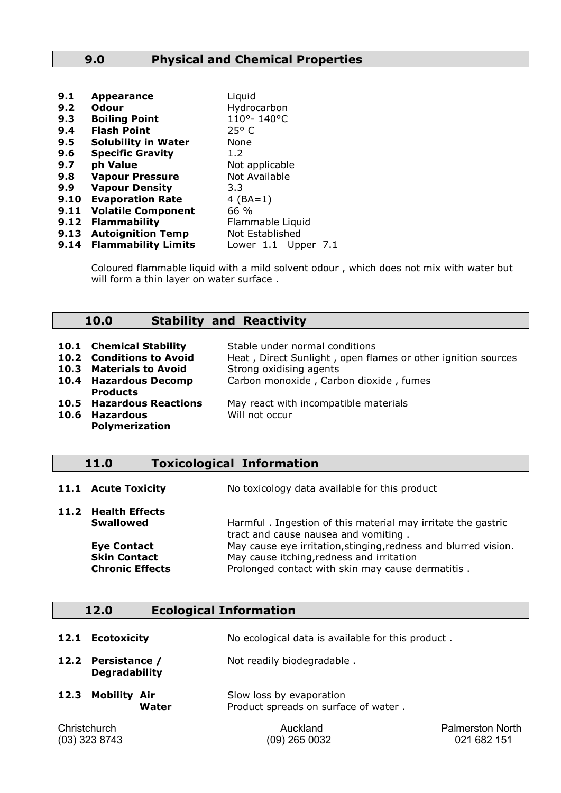## **9.0 Physical and Chemical Properties**

| 9.1  | <b>Appearance</b>          | Liquid              |
|------|----------------------------|---------------------|
| 9.2  | Odour                      | Hydrocarbon         |
| 9.3  | <b>Boiling Point</b>       | 110°-140°C          |
| 9.4  | <b>Flash Point</b>         | $25^{\circ}$ C      |
| 9.5  | <b>Solubility in Water</b> | None                |
| 9.6  | <b>Specific Gravity</b>    | 1.2                 |
| 9.7  | ph Value                   | Not applicable      |
| 9.8  | <b>Vapour Pressure</b>     | Not Available       |
| 9.9  | <b>Vapour Density</b>      | 3.3                 |
| 9.10 | <b>Evaporation Rate</b>    | 4 $(BA=1)$          |
| 9.11 | <b>Volatile Component</b>  | 66 %                |
| 9.12 | <b>Flammability</b>        | Flammable Liquid    |
| 9.13 | <b>Autoignition Temp</b>   | Not Established     |
| 9.14 | <b>Flammability Limits</b> | Lower 1.1 Upper 7.1 |

Coloured flammable liquid with a mild solvent odour , which does not mix with water but will form a thin layer on water surface.

### **10.0 Stability and Reactivity**

| 10.1 Chemical Stability<br>10.2 Conditions to Avoid<br>10.3 Materials to Avoid | Stable under normal conditions<br>Heat, Direct Sunlight, open flames or other ignition sources<br>Strong oxidising agents |
|--------------------------------------------------------------------------------|---------------------------------------------------------------------------------------------------------------------------|
| 10.4 Hazardous Decomp<br><b>Products</b>                                       | Carbon monoxide, Carbon dioxide, fumes                                                                                    |
| <b>10.5 Hazardous Reactions</b><br>10.6 Hazardous<br><b>Polymerization</b>     | May react with incompatible materials<br>Will not occur                                                                   |

### **11.0 Toxicological Information**

|  | 11.1 Acute Toxicity | No toxicology data available for this product |
|--|---------------------|-----------------------------------------------|
|--|---------------------|-----------------------------------------------|

| <b>Swallowed</b>       | Harmful. Ingestion of this material may irritate the gastric    |
|------------------------|-----------------------------------------------------------------|
|                        | tract and cause nausea and vomiting.                            |
| <b>Eye Contact</b>     | May cause eye irritation, stinging, redness and blurred vision. |
| <b>Skin Contact</b>    | May cause itching, redness and irritation                       |
| <b>Chronic Effects</b> | Prolonged contact with skin may cause dermatitis.               |
|                        | 11.2 Health Effects                                             |

## **12.0 Ecological Information**

| 12.1 Ecotoxicity | No ecological data is available for this product. |
|------------------|---------------------------------------------------|
|                  |                                                   |

- 12.2 **Persistance /** Not readily biodegradable . **Degradability**
- **12.3 Mobility Air** Slow loss by evaporation **Water** Product spreads on surface of water .

(09) 265 0032

Christchurch Auckland Palmerston North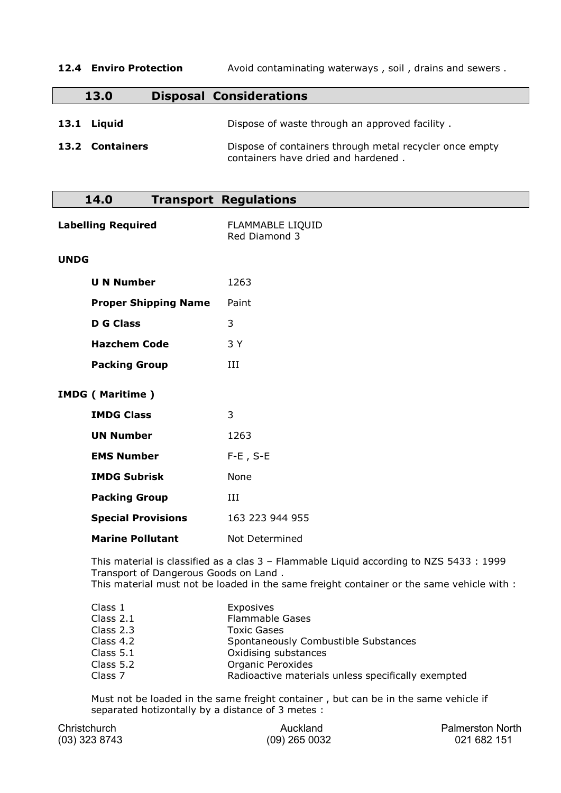| 12.4 Enviro Protection         | Avoid contaminating waterways, soil, drains and sewers.                                                                                          |
|--------------------------------|--------------------------------------------------------------------------------------------------------------------------------------------------|
| 13.0                           | <b>Disposal Considerations</b>                                                                                                                   |
| 13.1 Liquid<br>13.2 Containers | Dispose of waste through an approved facility.<br>Dispose of containers through metal recycler once empty<br>containers have dried and hardened. |

| 14.0                      |                             | <b>Transport Regulations</b>      |
|---------------------------|-----------------------------|-----------------------------------|
| <b>Labelling Required</b> |                             | FLAMMABLE LIQUID<br>Red Diamond 3 |
| <b>UNDG</b>               |                             |                                   |
|                           | <b>U N Number</b>           | 1263                              |
|                           | <b>Proper Shipping Name</b> | Paint                             |
|                           | <b>D G Class</b>            | 3                                 |
|                           | <b>Hazchem Code</b>         | 3 Y                               |
|                           | <b>Packing Group</b>        | III                               |
| <b>IMDG (Maritime)</b>    |                             |                                   |
|                           | <b>IMDG Class</b>           | 3                                 |
|                           | <b>UN Number</b>            | 1263                              |
|                           | <b>EMS Number</b>           | $F-E$ , $S-E$                     |
|                           | <b>IMDG Subrisk</b>         | None                              |
|                           | <b>Packing Group</b>        | III                               |
|                           | <b>Special Provisions</b>   | 163 223 944 955                   |
|                           | <b>Marine Pollutant</b>     | Not Determined                    |
|                           |                             |                                   |

This material is classified as a clas 3 – Flammable Liquid according to NZS 5433 : 1999 Transport of Dangerous Goods on Land . This material must not be loaded in the same freight container or the same vehicle with :

| Exposives<br><b>Flammable Gases</b><br><b>Toxic Gases</b><br>Spontaneously Combustible Substances<br>Oxidising substances<br><b>Organic Peroxides</b> |
|-------------------------------------------------------------------------------------------------------------------------------------------------------|
| Radioactive materials unless specifically exempted                                                                                                    |
|                                                                                                                                                       |

Must not be loaded in the same freight container , but can be in the same vehicle if separated hotizontally by a distance of 3 metes :

| Christchurch  | Auckland        | <b>Palmerston North</b> |
|---------------|-----------------|-------------------------|
| (03) 323 8743 | $(09)$ 265 0032 | 021 682 151             |